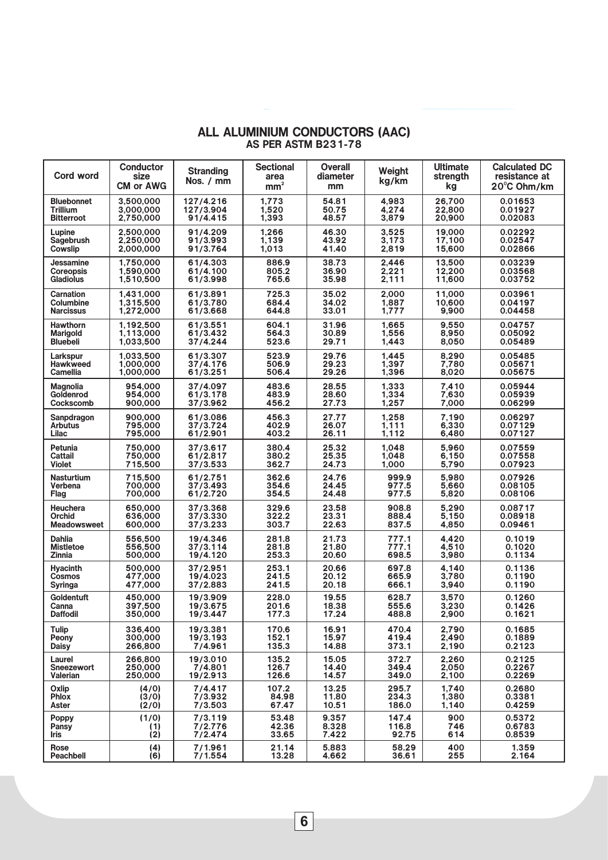| Cord word          | <b>Conductor</b><br>size<br><b>CM or AWG</b> | <b>Stranding</b><br>Nos. / mm | <b>Sectional</b><br>area<br>mm <sup>2</sup> | <b>Overall</b><br>diameter<br>mm | Weight<br>kg/km | <b>Ultimate</b><br>strength<br>kg | <b>Calculated DC</b><br>resistance at<br>20°C Ohm/km |
|--------------------|----------------------------------------------|-------------------------------|---------------------------------------------|----------------------------------|-----------------|-----------------------------------|------------------------------------------------------|
| <b>Bluebonnet</b>  | 3,500,000                                    | 127/4.216                     | 1,773                                       | 54.81                            | 4,983           | 26,700                            | 0.01653                                              |
| <b>Trillium</b>    | 3.000.000                                    | 127/3.904                     | 1.520                                       | 50.75                            | 4.274           | 22.800                            | 0.01927                                              |
| <b>Bitterroot</b>  | 2,750,000                                    | 91/4.415                      | 1,393                                       | 48.57                            | 3,879           | 20,900                            | 0.02083                                              |
| Lupine             | 2.500.000                                    | 91/4.209                      | 1,266                                       | 46.30                            | 3,525           | 19,000                            | 0.02292                                              |
| Sagebrush          | 2,250,000                                    | 91/3.993                      | 1,139                                       | 43.92                            | 3,173           | 17,100                            | 0.02547                                              |
| Cowslip            | 2,000,000                                    | 91/3.764                      | 1,013                                       | 41.40                            | 2,819           | 15,600                            | 0.02866                                              |
| Jessamine          | 1,750,000                                    | 61/4.303                      | 886.9                                       | 38.73                            | 2,446           | 13,500                            | 0.03239                                              |
| <b>Coreopsis</b>   | 1.590.000                                    | 61/4.100                      | 805.2                                       | 36.90                            | 2.221           | 12.200                            | 0.03568                                              |
| <b>Gladiolus</b>   | 1,510,500                                    | 61/3.998                      | 765.6                                       | 35.98                            | 2,111           | 11,600                            | 0.03752                                              |
| <b>Carnation</b>   | 1.431,000                                    | 61/3.891                      | 725.3                                       | 35.02                            | 2,000           | 11,000                            | 0.03961                                              |
| Columbine          | 1,315,500                                    | 61/3.780                      | 684.4                                       | 34.02                            | 1,887           | 10,600                            | 0.04197                                              |
| <b>Narcissus</b>   | 1,272,000                                    | 61/3.668                      | 644.8                                       | 33.01                            | 1,777           | 9,900                             | 0.04458                                              |
| <b>Hawthorn</b>    | 1,192,500                                    | 61/3.551                      | 604.1                                       | 31.96                            | 1.665           | 9.550                             | 0.04757                                              |
| <b>Marigold</b>    | 1,113,000                                    | 61/3.432                      | 564.3                                       | 30.89                            | 1,556           | 8,950                             | 0.05092                                              |
| <b>Bluebeli</b>    | 1,033,500                                    | 37/4.244                      | 523.6                                       | 29.71                            | 1,443           | 8,050                             | 0.05489                                              |
| Larkspur           | 1,033,500                                    | 61/3.307                      | 523.9                                       | 29.76                            | 1.445           | 8,290                             | 0.05485                                              |
| <b>Hawkweed</b>    | 1,000,000                                    | 37/4.176                      | 506.9                                       | 29.23                            | 1,397           | 7,780                             | 0.05671                                              |
| <b>Camellia</b>    | 1,000,000                                    | 61/3.251                      | 506.4                                       | 29.26                            | 1,396           | 8,020                             | 0.05675                                              |
| <b>Magnolia</b>    | 954,000                                      | 37/4.097                      | 483.6                                       | 28.55                            | 1,333           | 7.410                             | 0.05944                                              |
| Goldenrod          | 954,000                                      | 61/3.178                      | 483.9                                       | 28.60                            | 1,334           | 7,630                             | 0.05939                                              |
| Cockscomb          | 900,000                                      | 37/3.962                      | 456.2                                       | 27.73                            | 1,257           | 7,000                             | 0.06299                                              |
| Sanpdragon         | 900,000                                      | 61/3.086                      | 456.3                                       | 27.77                            | 1,258           | 7,190                             | 0.06297                                              |
| <b>Arbutus</b>     | 795,000                                      | 37/3.724                      | 402.9                                       | 26.07                            | 1,111           | 6,330                             | 0.07129                                              |
| Lilac              | 795,000                                      | 61/2.901                      | 403.2                                       | 26.11                            | 1,112           | 6,480                             | 0.07127                                              |
| Petunia            | 750,000                                      | 37/3.617                      | 380.4                                       | 25.32                            | 1,048           | 5.960                             | 0.07559                                              |
| <b>Cattail</b>     | 750,000                                      | 61/2.817                      | 380.2                                       | 25.35                            | 1,048           | 6,150                             | 0.07558                                              |
| <b>Violet</b>      | 715,500                                      | 37/3.533                      | 362.7                                       | 24.73                            | 1,000           | 5,790                             | 0.07923                                              |
| <b>Nasturtium</b>  | 715,500                                      | 61/2.751                      | 362.6                                       | 24.76                            | 999.9           | 5,980                             | 0.07926                                              |
| Verbena            | 700,000                                      | 37/3.493                      | 354.6                                       | 24.45                            | 977.5           | 5,660                             | 0.08105                                              |
| Flag               | 700,000                                      | 61/2.720                      | 354.5                                       | 24.48                            | 977.5           | 5,820                             | 0.08106                                              |
| <b>Heuchera</b>    | 650,000                                      | 37/3.368                      | 329.6                                       | 23.58                            | 908.8           | 5.290                             | 0.08717                                              |
| <b>Orchid</b>      | 636,000                                      | 37/3.330                      | 322.2                                       | 23.31                            | 888.4           | 5,150                             | 0.08918                                              |
| <b>Meadowsweet</b> | 600,000                                      | 37/3.233                      | 303.7                                       | 22.63                            | 837.5           | 4,850                             | 0.09461                                              |
| <b>Dahlia</b>      | 556,500                                      | 19/4.346                      | 281.8                                       | 21.73                            | 777.1           | 4.420                             | 0.1019                                               |
| <b>Mistletoe</b>   | 556,500                                      | 37/3.114                      | 281.8                                       | 21.80                            | 777.1           | 4,510                             | 0.1020                                               |
| <b>Zinnia</b>      | 500,000                                      | 19/4.120                      | 253.3                                       | 20.60                            | 698.5           | 3,980                             | 0.1134                                               |
| <b>Hyacinth</b>    | 500,000                                      | 37/2.951                      | 253.1                                       | 20.66                            | 697.8           | 4.140                             | 0.1136                                               |
| <b>Cosmos</b>      | 477,000                                      | 19/4.023                      | 241.5                                       | 20.12                            | 665.9           | 3,780                             | 0.1190                                               |
| <b>Syringa</b>     | 477,000                                      | 37/2.883                      | 241.5                                       | 20.18                            | 666.1           | 3,940                             | 0.1190                                               |
| Goldentuft         | 450,000                                      | 19/3.909                      | 228.0                                       | 19.55                            | 628.7           | 3,570                             | 0.1260                                               |
| Canna              | 397,500                                      | 19/3.675                      | 201.6                                       | 18.38                            | 555.6           | 3,230                             | 0.1426                                               |
| <b>Daffodil</b>    | 350,000                                      | 19/3.447                      | 177.3                                       | 17.24                            | 488.8           | 2,900                             | 0.1621                                               |
| Tulip              | 336,400                                      | 19/3.381                      | 170.6                                       | 16.91                            | 470.4           | 2,790                             | 0.1685                                               |
| Peony              | 300,000                                      | 19/3.193                      | 152.1                                       | 15.97                            | 419.4           | 2,490                             | 0.1889                                               |
| <b>Daisy</b>       | 266,800                                      | 7/4.961                       | 135.3                                       | 14.88                            | 373.1           | 2,190                             | 0.2123                                               |
| Laurel             | 266,800                                      | 19/3.010                      | 135.2                                       | 15.05                            | 372.7           | 2,260                             | 0.2125                                               |
| <b>Sneezewort</b>  | 250,000                                      | 7/4.801                       | 126.7                                       | 14.40                            | 349.4           | 2,050                             | 0.2267                                               |
| Valerian           | 250,000                                      | 19/2.913                      | 126.6                                       | 14.57                            | 349.0           | 2,100                             | 0.2269                                               |
| Oxlip              | (4/0)                                        | 7/4.417                       | 107.2                                       | 13.25                            | 295.7           | 1,740                             | 0.2680                                               |
| <b>Phlox</b>       | (3/0)                                        | 7/3.932                       | 84.98                                       | 11.80                            | 234.3           | 1,380                             | 0.3381                                               |
| Aster              | (2/0)                                        | 7/3.503                       | 67.47                                       | 10.51                            | 186.0           | 1,140                             | 0.4259                                               |
| Poppy              | (1/0)                                        | 7/3.119                       | 53.48                                       | 9.357                            | 147.4           | 900                               | 0.5372                                               |
| <b>Pansy</b>       | (1)                                          | 7/2.776                       | 42.36                                       | 8.328                            | 116.8           | 746                               | 0.6783                                               |
| Iris               | (2)                                          | 7/2.474                       | 33.65                                       | 7.422                            | 92.75           | 614                               | 0.8539                                               |
| Rose               | $\binom{4}{6}$                               | 7/1.961                       | 21.14                                       | 5.883                            | 58.29           | 400                               | 1.359                                                |
| Peachbell          |                                              | 7/1.554                       | 13.28                                       | 4.662                            | 36.61           | 255                               | 2.164                                                |

## ALL ALUMINIUM CONDUCTORS (AAC) AS PER ASTM B231-78